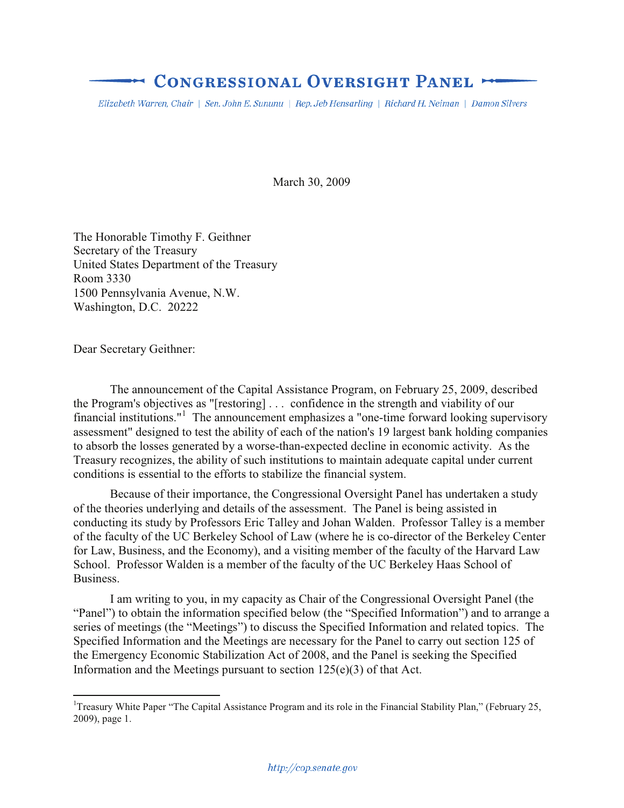# **CONGRESSIONAL OVERSIGHT PANEL >**

Elizabeth Warren, Chair | Sen. John E. Sununu | Rep. Jeb Hensarling | Richard H. Neiman | Damon Silvers

March 30, 2009

The Honorable Timothy F. Geithner Secretary of the Treasury United States Department of the Treasury Room 3330 1500 Pennsylvania Avenue, N.W. Washington, D.C. 20222

Dear Secretary Geithner:

 $\overline{a}$ 

The announcement of the Capital Assistance Program, on February 25, 2009, described the Program's objectives as "[restoring] . . . confidence in the strength and viability of our financial institutions."<sup>1</sup> The announcement emphasizes a "one-time forward looking supervisory assessment" designed to test the ability of each of the nation's 19 largest bank holding companies to absorb the losses generated by a worse-than-expected decline in economic activity. As the Treasury recognizes, the ability of such institutions to maintain adequate capital under current conditions is essential to the efforts to stabilize the financial system.

Because of their importance, the Congressional Oversight Panel has undertaken a study of the theories underlying and details of the assessment. The Panel is being assisted in conducting its study by Professors Eric Talley and Johan Walden. Professor Talley is a member of the faculty of the UC Berkeley School of Law (where he is co-director of the Berkeley Center for Law, Business, and the Economy), and a visiting member of the faculty of the Harvard Law School. Professor Walden is a member of the faculty of the UC Berkeley Haas School of Business.

I am writing to you, in my capacity as Chair of the Congressional Oversight Panel (the "Panel") to obtain the information specified below (the "Specified Information") and to arrange a series of meetings (the "Meetings") to discuss the Specified Information and related topics. The Specified Information and the Meetings are necessary for the Panel to carry out section 125 of the Emergency Economic Stabilization Act of 2008, and the Panel is seeking the Specified Information and the Meetings pursuant to section  $125(e)(3)$  of that Act.

<sup>&</sup>lt;sup>1</sup>Treasury White Paper "The Capital Assistance Program and its role in the Financial Stability Plan," (February 25, 2009), page 1.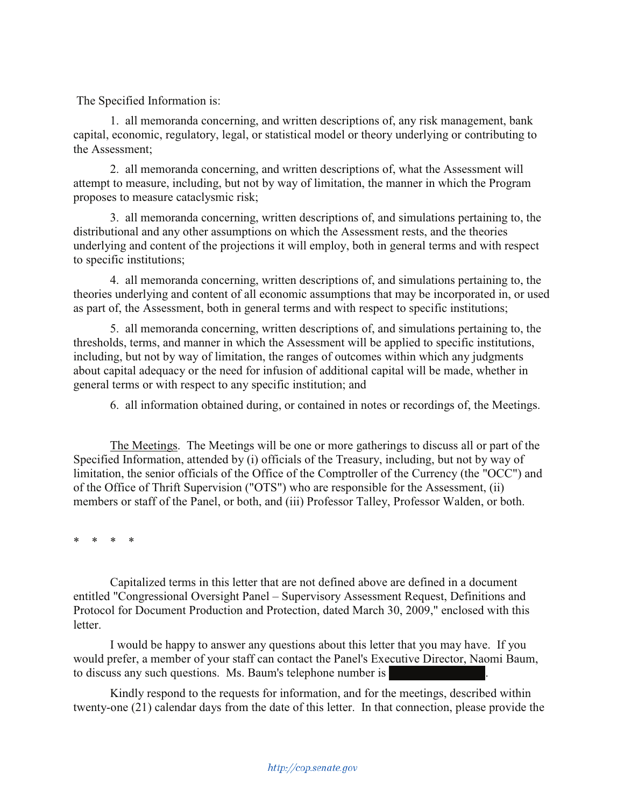The Specified Information is:

1. all memoranda concerning, and written descriptions of, any risk management, bank capital, economic, regulatory, legal, or statistical model or theory underlying or contributing to the Assessment;

2. all memoranda concerning, and written descriptions of, what the Assessment will attempt to measure, including, but not by way of limitation, the manner in which the Program proposes to measure cataclysmic risk;

3. all memoranda concerning, written descriptions of, and simulations pertaining to, the distributional and any other assumptions on which the Assessment rests, and the theories underlying and content of the projections it will employ, both in general terms and with respect to specific institutions;

4. all memoranda concerning, written descriptions of, and simulations pertaining to, the theories underlying and content of all economic assumptions that may be incorporated in, or used as part of, the Assessment, both in general terms and with respect to specific institutions;

5. all memoranda concerning, written descriptions of, and simulations pertaining to, the thresholds, terms, and manner in which the Assessment will be applied to specific institutions, including, but not by way of limitation, the ranges of outcomes within which any judgments about capital adequacy or the need for infusion of additional capital will be made, whether in general terms or with respect to any specific institution; and

6. all information obtained during, or contained in notes or recordings of, the Meetings.

The Meetings. The Meetings will be one or more gatherings to discuss all or part of the Specified Information, attended by (i) officials of the Treasury, including, but not by way of limitation, the senior officials of the Office of the Comptroller of the Currency (the "OCC") and of the Office of Thrift Supervision ("OTS") who are responsible for the Assessment, (ii) members or staff of the Panel, or both, and (iii) Professor Talley, Professor Walden, or both.

\* \* \* \*

Capitalized terms in this letter that are not defined above are defined in a document entitled "Congressional Oversight Panel – Supervisory Assessment Request, Definitions and Protocol for Document Production and Protection, dated March 30, 2009," enclosed with this letter.

I would be happy to answer any questions about this letter that you may have. If you would prefer, a member of your staff can contact the Panel's Executive Director, Naomi Baum, to discuss any such questions. Ms. Baum's telephone number is

Kindly respond to the requests for information, and for the meetings, described within twenty-one (21) calendar days from the date of this letter. In that connection, please provide the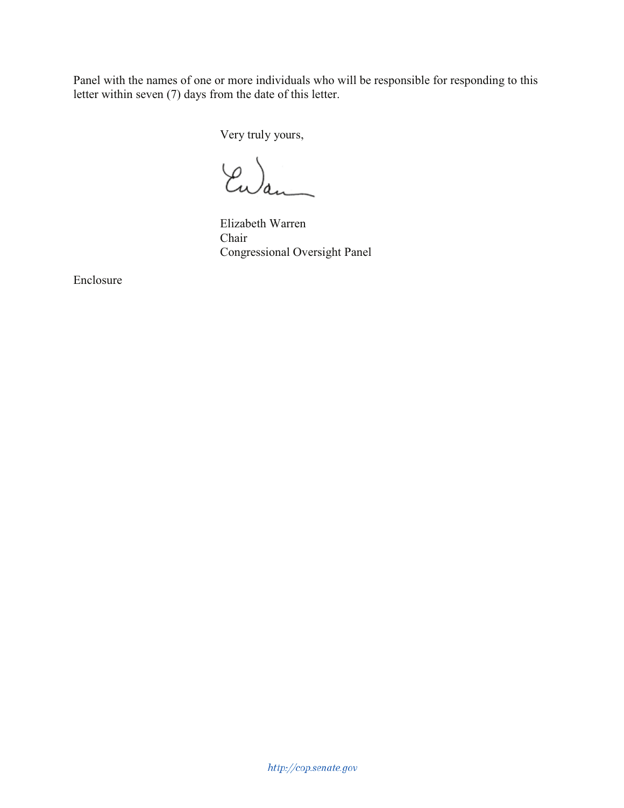Panel with the names of one or more individuals who will be responsible for responding to this letter within seven (7) days from the date of this letter.

Very truly yours,

Ewan

Elizabeth Warren Chair Congressional Oversight Panel

Enclosure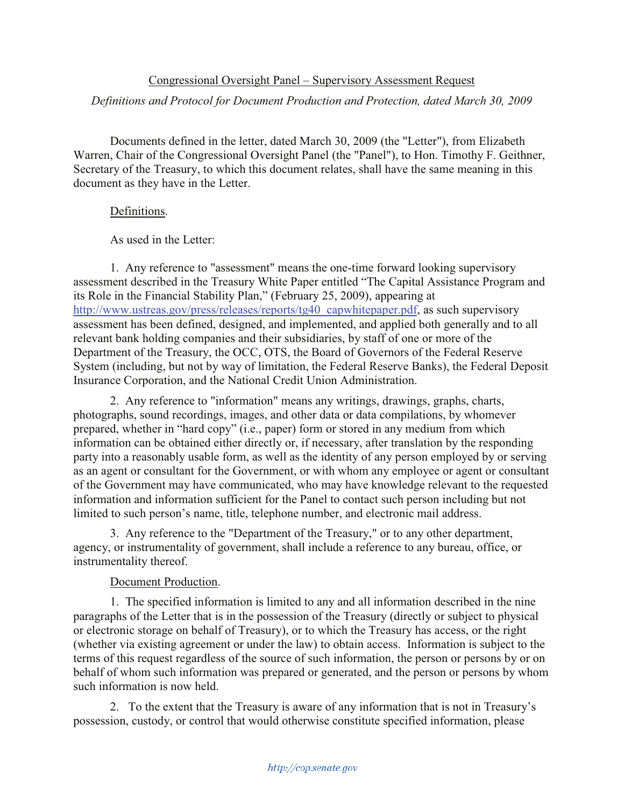## Congressional Oversight Panel – Supervisory Assessment Request

## *Definitions and Protocol for Document Production and Protection, dated March 30, 2009*

Documents defined in the letter, dated March 30, 2009 (the "Letter"), from Elizabeth Warren, Chair of the Congressional Oversight Panel (the "Panel"), to Hon. Timothy F. Geithner, Secretary of the Treasury, to which this document relates, shall have the same meaning in this document as they have in the Letter.

## Definitions.

As used in the Letter:

1. Any reference to "assessment" means the one-time forward looking supervisory assessment described in the Treasury White Paper entitled "The Capital Assistance Program and its Role in the Financial Stability Plan," (February 25, 2009), appearing at http://www.ustreas.gov/press/releases/reports/tg40\_capwhitepaper.pdf, as such supervisory assessment has been defined, designed, and implemented, and applied both generally and to all relevant bank holding companies and their subsidiaries, by staff of one or more of the Department of the Treasury, the OCC, OTS, the Board of Governors of the Federal Reserve System (including, but not by way of limitation, the Federal Reserve Banks), the Federal Deposit Insurance Corporation, and the National Credit Union Administration.

2. Any reference to "information" means any writings, drawings, graphs, charts, photographs, sound recordings, images, and other data or data compilations, by whomever prepared, whether in "hard copy" (i.e., paper) form or stored in any medium from which information can be obtained either directly or, if necessary, after translation by the responding party into a reasonably usable form, as well as the identity of any person employed by or serving as an agent or consultant for the Government, or with whom any employee or agent or consultant of the Government may have communicated, who may have knowledge relevant to the requested information and information sufficient for the Panel to contact such person including but not limited to such person's name, title, telephone number, and electronic mail address.

3. Any reference to the "Department of the Treasury," or to any other department, agency, or instrumentality of government, shall include a reference to any bureau, office, or instrumentality thereof.

## Document Production.

1. The specified information is limited to any and all information described in the nine paragraphs of the Letter that is in the possession of the Treasury (directly or subject to physical or electronic storage on behalf of Treasury), or to which the Treasury has access, or the right (whether via existing agreement or under the law) to obtain access. Information is subject to the terms of this request regardless of the source of such information, the person or persons by or on behalf of whom such information was prepared or generated, and the person or persons by whom such information is now held.

2. To the extent that the Treasury is aware of any information that is not in Treasury's possession, custody, or control that would otherwise constitute specified information, please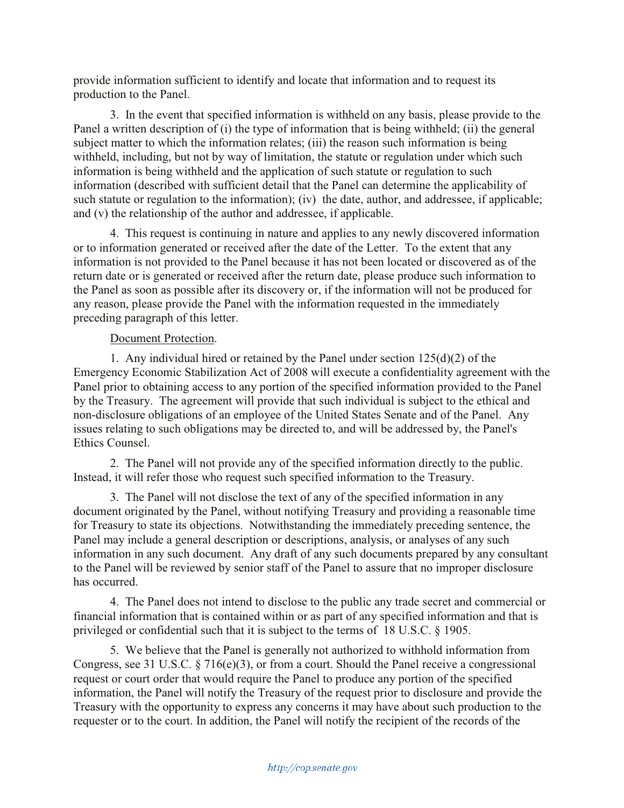provide information sufficient to identify and locate that information and to request its production to the Panel.

3. In the event that specified information is withheld on any basis, please provide to the Panel a written description of (i) the type of information that is being withheld; (ii) the general subject matter to which the information relates; (iii) the reason such information is being withheld, including, but not by way of limitation, the statute or regulation under which such information is being withheld and the application of such statute or regulation to such information (described with sufficient detail that the Panel can determine the applicability of such statute or regulation to the information); (iv) the date, author, and addressee, if applicable; and (v) the relationship of the author and addressee, if applicable.

4. This request is continuing in nature and applies to any newly discovered information or to information generated or received after the date of the Letter. To the extent that any information is not provided to the Panel because it has not been located or discovered as of the return date or is generated or received after the return date, please produce such information to the Panel as soon as possible after its discovery or, if the information will not be produced for any reason, please provide the Panel with the information requested in the immediately preceding paragraph of this letter.

# Document Protection.

1. Any individual hired or retained by the Panel under section 125(d)(2) of the Emergency Economic Stabilization Act of 2008 will execute a confidentiality agreement with the Panel prior to obtaining access to any portion of the specified information provided to the Panel by the Treasury. The agreement will provide that such individual is subject to the ethical and non-disclosure obligations of an employee of the United States Senate and of the Panel. Any issues relating to such obligations may be directed to, and will be addressed by, the Panel's Ethics Counsel.

2. The Panel will not provide any of the specified information directly to the public. Instead, it will refer those who request such specified information to the Treasury.

3. The Panel will not disclose the text of any of the specified information in any document originated by the Panel, without notifying Treasury and providing a reasonable time for Treasury to state its objections. Notwithstanding the immediately preceding sentence, the Panel may include a general description or descriptions, analysis, or analyses of any such information in any such document. Any draft of any such documents prepared by any consultant to the Panel will be reviewed by senior staff of the Panel to assure that no improper disclosure has occurred.

4. The Panel does not intend to disclose to the public any trade secret and commercial or financial information that is contained within or as part of any specified information and that is privileged or confidential such that it is subject to the terms of 18 U.S.C. § 1905.

5. We believe that the Panel is generally not authorized to withhold information from Congress, see 31 U.S.C. § 716(e)(3), or from a court. Should the Panel receive a congressional request or court order that would require the Panel to produce any portion of the specified information, the Panel will notify the Treasury of the request prior to disclosure and provide the Treasury with the opportunity to express any concerns it may have about such production to the requester or to the court. In addition, the Panel will notify the recipient of the records of the